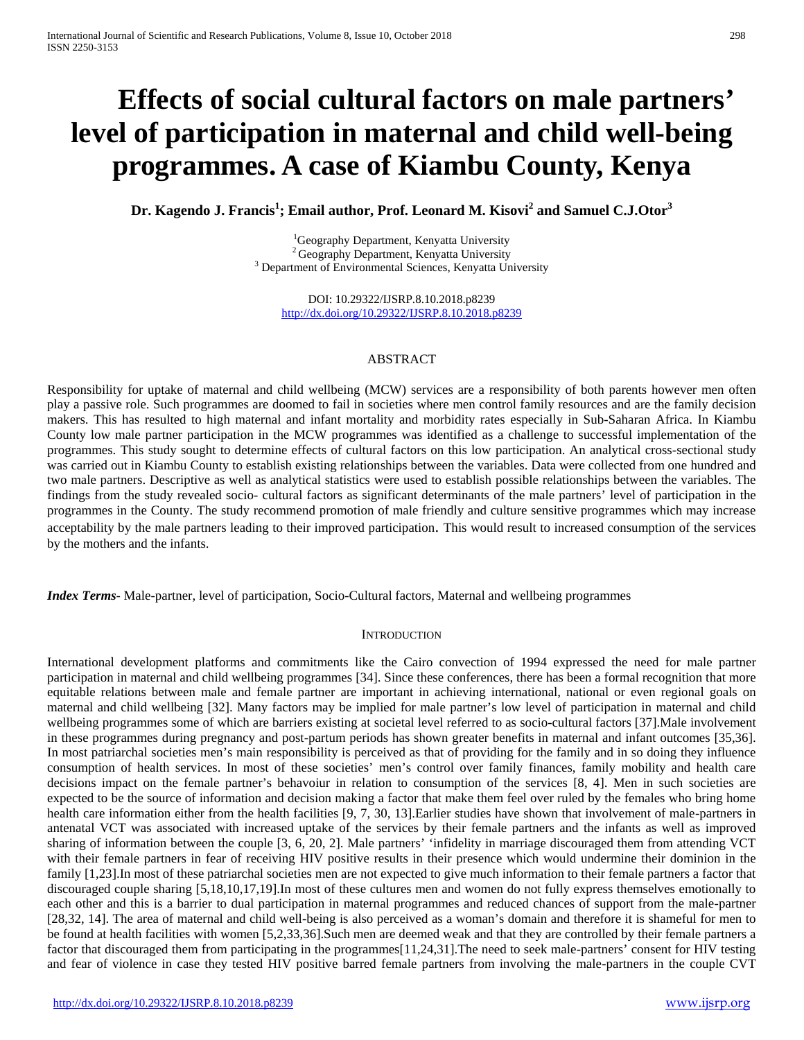# **Effects of social cultural factors on male partners' level of participation in maternal and child well-being programmes. A case of Kiambu County, Kenya**

**Dr. Kagendo J. Francis1 ; Email author, Prof. Leonard M. Kisovi<sup>2</sup> and Samuel C.J.Otor3**

<sup>1</sup>Geography Department, Kenyatta University <sup>2</sup> Geography Department, Kenyatta University<br><sup>3</sup> Department of Environmental Sciences, Kenyatta University

DOI: 10.29322/IJSRP.8.10.2018.p8239 <http://dx.doi.org/10.29322/IJSRP.8.10.2018.p8239>

## ABSTRACT

Responsibility for uptake of maternal and child wellbeing (MCW) services are a responsibility of both parents however men often play a passive role. Such programmes are doomed to fail in societies where men control family resources and are the family decision makers. This has resulted to high maternal and infant mortality and morbidity rates especially in Sub-Saharan Africa. In Kiambu County low male partner participation in the MCW programmes was identified as a challenge to successful implementation of the programmes. This study sought to determine effects of cultural factors on this low participation. An analytical cross-sectional study was carried out in Kiambu County to establish existing relationships between the variables. Data were collected from one hundred and two male partners. Descriptive as well as analytical statistics were used to establish possible relationships between the variables. The findings from the study revealed socio- cultural factors as significant determinants of the male partners' level of participation in the programmes in the County. The study recommend promotion of male friendly and culture sensitive programmes which may increase acceptability by the male partners leading to their improved participation. This would result to increased consumption of the services by the mothers and the infants.

*Index Terms*- Male-partner, level of participation, Socio-Cultural factors, Maternal and wellbeing programmes

### **INTRODUCTION**

International development platforms and commitments like the Cairo convection of 1994 expressed the need for male partner participation in maternal and child wellbeing programmes [34]. Since these conferences, there has been a formal recognition that more equitable relations between male and female partner are important in achieving international, national or even regional goals on maternal and child wellbeing [32]. Many factors may be implied for male partner's low level of participation in maternal and child wellbeing programmes some of which are barriers existing at societal level referred to as socio-cultural factors [37].Male involvement in these programmes during pregnancy and post-partum periods has shown greater benefits in maternal and infant outcomes [35,36]. In most patriarchal societies men's main responsibility is perceived as that of providing for the family and in so doing they influence consumption of health services. In most of these societies' men's control over family finances, family mobility and health care decisions impact on the female partner's behavoiur in relation to consumption of the services [8, 4]. Men in such societies are expected to be the source of information and decision making a factor that make them feel over ruled by the females who bring home health care information either from the health facilities [9, 7, 30, 13]. Earlier studies have shown that involvement of male-partners in antenatal VCT was associated with increased uptake of the services by their female partners and the infants as well as improved sharing of information between the couple [3, 6, 20, 2]. Male partners' 'infidelity in marriage discouraged them from attending VCT with their female partners in fear of receiving HIV positive results in their presence which would undermine their dominion in the family [1,23].In most of these patriarchal societies men are not expected to give much information to their female partners a factor that discouraged couple sharing [5,18,10,17,19].In most of these cultures men and women do not fully express themselves emotionally to each other and this is a barrier to dual participation in maternal programmes and reduced chances of support from the male-partner [28,32, 14]. The area of maternal and child well-being is also perceived as a woman's domain and therefore it is shameful for men to be found at health facilities with women [5,2,33,36].Such men are deemed weak and that they are controlled by their female partners a factor that discouraged them from participating in the programmes [11,24,31]. The need to seek male-partners' consent for HIV testing and fear of violence in case they tested HIV positive barred female partners from involving the male-partners in the couple CVT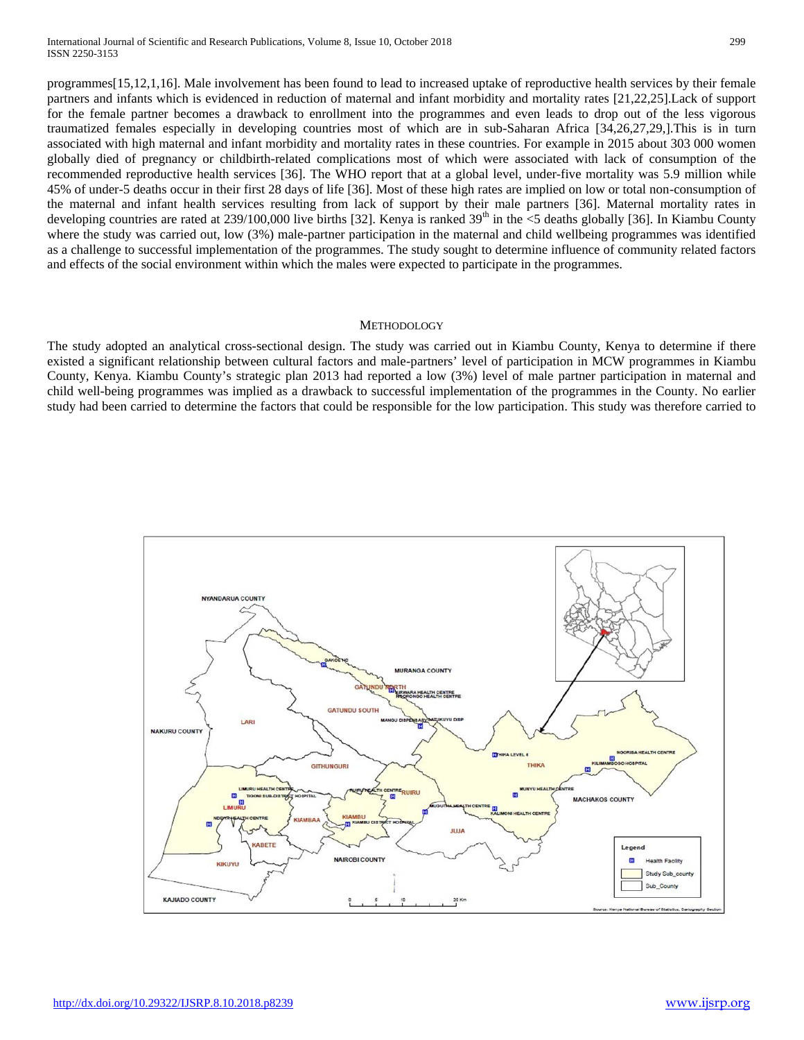programmes[15,12,1,16]. Male involvement has been found to lead to increased uptake of reproductive health services by their female partners and infants which is evidenced in reduction of maternal and infant morbidity and mortality rates [21,22,25].Lack of support for the female partner becomes a drawback to enrollment into the programmes and even leads to drop out of the less vigorous traumatized females especially in developing countries most of which are in sub-Saharan Africa [34,26,27,29,].This is in turn associated with high maternal and infant morbidity and mortality rates in these countries. For example in 2015 about 303 000 women globally died of pregnancy or childbirth-related complications most of which were associated with lack of consumption of the recommended reproductive health services [36]. The WHO report that at a global level, [under-five](http://www.who.int/entity/gho/child_health/mortality/mortality_under_five/en/index.html) mortality was 5.9 million while 45% of under-5 deaths occur in their first 28 days of life [36]. Most of these high rates are implied on low or total non-consumption of the maternal and infant health services resulting from lack of support by their male partners [36]. Maternal mortality rates in developing countries are rated at  $239/100,000$  live births [32]. Kenya is ranked  $39<sup>th</sup>$  in the <5 deaths globally [36]. In Kiambu County where the study was carried out, low (3%) male-partner participation in the maternal and child wellbeing programmes was identified as a challenge to successful implementation of the programmes. The study sought to determine influence of community related factors and effects of the social environment within which the males were expected to participate in the programmes.

## METHODOLOGY

The study adopted an analytical cross-sectional design. The study was carried out in Kiambu County, Kenya to determine if there existed a significant relationship between cultural factors and male-partners' level of participation in MCW programmes in Kiambu County, Kenya. Kiambu County's strategic plan 2013 had reported a low (3%) level of male partner participation in maternal and child well-being programmes was implied as a drawback to successful implementation of the programmes in the County. No earlier study had been carried to determine the factors that could be responsible for the low participation. This study was therefore carried to

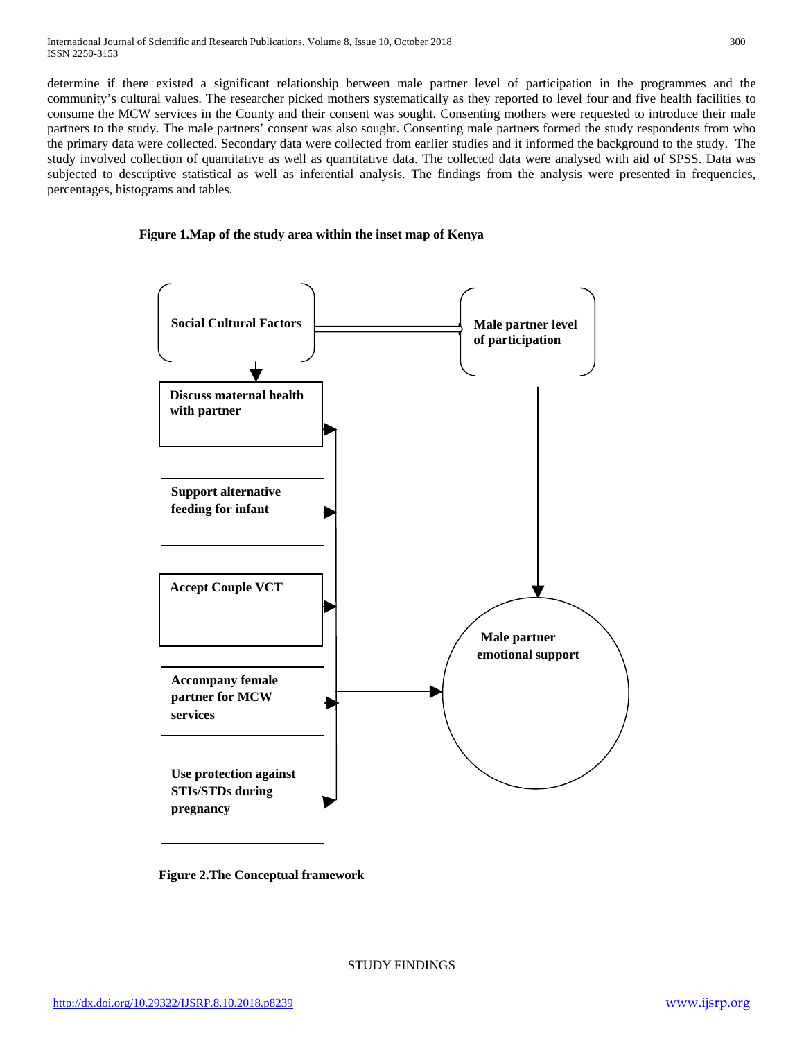determine if there existed a significant relationship between male partner level of participation in the programmes and the community's cultural values. The researcher picked mothers systematically as they reported to level four and five health facilities to consume the MCW services in the County and their consent was sought. Consenting mothers were requested to introduce their male partners to the study. The male partners' consent was also sought. Consenting male partners formed the study respondents from who the primary data were collected. Secondary data were collected from earlier studies and it informed the background to the study. The study involved collection of quantitative as well as quantitative data. The collected data were analysed with aid of SPSS. Data was subjected to descriptive statistical as well as inferential analysis. The findings from the analysis were presented in frequencies, percentages, histograms and tables.

## **Figure 1.Map of the study area within the inset map of Kenya**



 **Figure 2.The Conceptual framework**

STUDY FINDINGS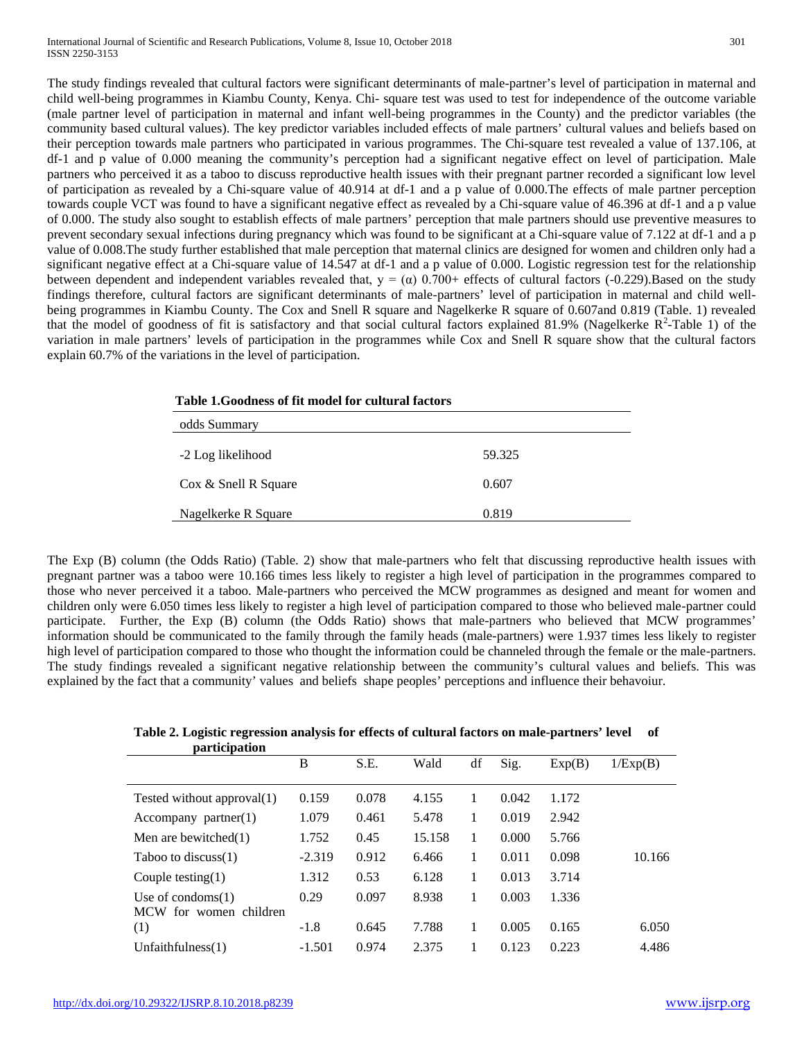The study findings revealed that cultural factors were significant determinants of male-partner's level of participation in maternal and child well-being programmes in Kiambu County, Kenya. Chi- square test was used to test for independence of the outcome variable (male partner level of participation in maternal and infant well-being programmes in the County) and the predictor variables (the community based cultural values). The key predictor variables included effects of male partners' cultural values and beliefs based on their perception towards male partners who participated in various programmes. The Chi-square test revealed a value of 137.106, at df-1 and p value of 0.000 meaning the community's perception had a significant negative effect on level of participation. Male partners who perceived it as a taboo to discuss reproductive health issues with their pregnant partner recorded a significant low level of participation as revealed by a Chi-square value of 40.914 at df-1 and a p value of 0.000.The effects of male partner perception towards couple VCT was found to have a significant negative effect as revealed by a Chi-square value of 46.396 at df-1 and a p value of 0.000. The study also sought to establish effects of male partners' perception that male partners should use preventive measures to prevent secondary sexual infections during pregnancy which was found to be significant at a Chi-square value of 7.122 at df-1 and a p value of 0.008.The study further established that male perception that maternal clinics are designed for women and children only had a significant negative effect at a Chi-square value of 14.547 at df-1 and a p value of 0.000. Logistic regression test for the relationship between dependent and independent variables revealed that,  $y = (\alpha)$  0.700+ effects of cultural factors (-0.229).Based on the study findings therefore, cultural factors are significant determinants of male-partners' level of participation in maternal and child wellbeing programmes in Kiambu County. The Cox and Snell R square and Nagelkerke R square of 0.607and 0.819 (Table. 1) revealed that the model of goodness of fit is satisfactory and that social cultural factors explained 81.9% (Nagelkerke  $R^2$ -Table 1) of the variation in male partners' levels of participation in the programmes while Cox and Snell R square show that the cultural factors explain 60.7% of the variations in the level of participation.

| Table 1. Goodness of fit model for cultural factors |        |  |  |  |  |
|-----------------------------------------------------|--------|--|--|--|--|
| odds Summary                                        |        |  |  |  |  |
| -2 Log likelihood                                   | 59.325 |  |  |  |  |
| Cox & Snell R Square                                | 0.607  |  |  |  |  |
| Nagelkerke R Square                                 | 0.819  |  |  |  |  |

The Exp (B) column (the [Odds Ratio\)](http://www.restore.ac.uk/srme/www/fac/soc/wie/research-new/srme/glossary/index01aa.html?selectedLetter=O#odds-ratio) (Table. 2) show that male-partners who felt that discussing reproductive health issues with pregnant partner was a taboo were 10.166 times less likely to register a high level of participation in the programmes compared to those who never perceived it a taboo. Male-partners who perceived the MCW programmes as designed and meant for women and children only were 6.050 times less likely to register a high level of participation compared to those who believed male-partner could participate. Further, the Exp (B) column (the [Odds Ratio\)](http://www.restore.ac.uk/srme/www/fac/soc/wie/research-new/srme/glossary/index01aa.html?selectedLetter=O#odds-ratio) shows that male-partners who believed that MCW programmes' information should be communicated to the family through the family heads (male-partners) were 1.937 times less likely to register high level of participation compared to those who thought the information could be channeled through the female or the male-partners. The study findings revealed a significant negative relationship between the community's cultural values and beliefs. This was explained by the fact that a community' values and beliefs shape peoples' perceptions and influence their behavoiur.

| participation                                  |          |       |        |    |       |        |          |
|------------------------------------------------|----------|-------|--------|----|-------|--------|----------|
|                                                | B        | S.E.  | Wald   | df | Sig.  | Exp(B) | 1/Exp(B) |
|                                                |          |       |        |    |       |        |          |
| Tested without approval(1)                     | 0.159    | 0.078 | 4.155  |    | 0.042 | 1.172  |          |
| $\text{Aecompany partner}(1)$                  | 1.079    | 0.461 | 5.478  | 1  | 0.019 | 2.942  |          |
| Men are bewitched $(1)$                        | 1.752    | 0.45  | 15.158 | 1  | 0.000 | 5.766  |          |
| Taboo to discuss $(1)$                         | $-2.319$ | 0.912 | 6.466  |    | 0.011 | 0.098  | 10.166   |
| Couple testing $(1)$                           | 1.312    | 0.53  | 6.128  | 1  | 0.013 | 3.714  |          |
| Use of condoms $(1)$<br>MCW for women children | 0.29     | 0.097 | 8.938  |    | 0.003 | 1.336  |          |
| (1)                                            | $-1.8$   | 0.645 | 7.788  |    | 0.005 | 0.165  | 6.050    |
| Unfaithfulness $(1)$                           | $-1.501$ | 0.974 | 2.375  |    | 0.123 | 0.223  | 4.486    |

## **Table 2. Logistic regression analysis for effects of cultural factors on male-partners' level of**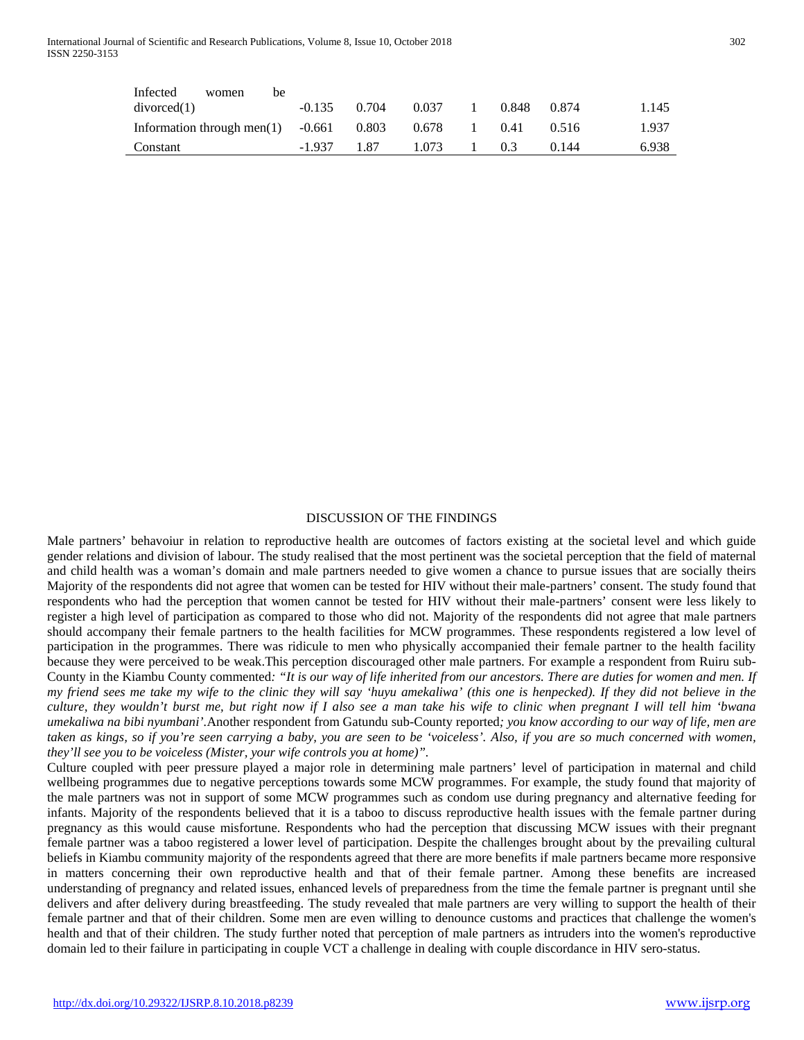| Infected<br>women<br>be              |          |       |       |       |       |       |
|--------------------------------------|----------|-------|-------|-------|-------|-------|
| divorced(1)                          | $-0.135$ | 0.704 | 0.037 | 0.848 | 0.874 | 1.145 |
| Information through men $(1)$ -0.661 |          | 0.803 | 0.678 | 0.41  | 0.516 | 1.937 |
| Constant                             | $-1.937$ | 187   | 1.073 | 0.3   | 0.144 | 6.938 |

## DISCUSSION OF THE FINDINGS

Male partners' behavoiur in relation to reproductive health are outcomes of factors existing at the societal level and which guide gender relations and division of labour. The study realised that the most pertinent was the societal perception that the field of maternal and child health was a woman's domain and male partners needed to give women a chance to pursue issues that are socially theirs Majority of the respondents did not agree that women can be tested for HIV without their male-partners' consent. The study found that respondents who had the perception that women cannot be tested for HIV without their male-partners' consent were less likely to register a high level of participation as compared to those who did not. Majority of the respondents did not agree that male partners should accompany their female partners to the health facilities for MCW programmes. These respondents registered a low level of participation in the programmes. There was ridicule to men who physically accompanied their female partner to the health facility because they were perceived to be weak.This perception discouraged other male partners. For example a respondent from Ruiru sub-County in the Kiambu County commented*: "It is our way of life inherited from our ancestors. There are duties for women and men. If my friend sees me take my wife to the clinic they will say 'huyu amekaliwa' (this one is henpecked). If they did not believe in the culture, they wouldn't burst me, but right now if I also see a man take his wife to clinic when pregnant I will tell him 'bwana umekaliwa na bibi nyumbani'.*Another respondent from Gatundu sub-County reported*; you know according to our way of life, men are taken as kings, so if you're seen carrying a baby, you are seen to be 'voiceless'. Also, if you are so much concerned with women, they'll see you to be voiceless (Mister, your wife controls you at home)".*

Culture coupled with peer pressure played a major role in determining male partners' level of participation in maternal and child wellbeing programmes due to negative perceptions towards some MCW programmes. For example, the study found that majority of the male partners was not in support of some MCW programmes such as condom use during pregnancy and alternative feeding for infants. Majority of the respondents believed that it is a taboo to discuss reproductive health issues with the female partner during pregnancy as this would cause misfortune. Respondents who had the perception that discussing MCW issues with their pregnant female partner was a taboo registered a lower level of participation. Despite the challenges brought about by the prevailing cultural beliefs in Kiambu community majority of the respondents agreed that there are more benefits if male partners became more responsive in matters concerning their own reproductive health and that of their female partner. Among these benefits are increased understanding of pregnancy and related issues, enhanced levels of preparedness from the time the female partner is pregnant until she delivers and after delivery during breastfeeding. The study revealed that male partners are very willing to support the health of their female partner and that of their children. Some men are even willing to denounce customs and practices that challenge the women's health and that of their children. The study further noted that perception of male partners as intruders into the women's reproductive domain led to their failure in participating in couple VCT a challenge in dealing with couple discordance in HIV sero-status.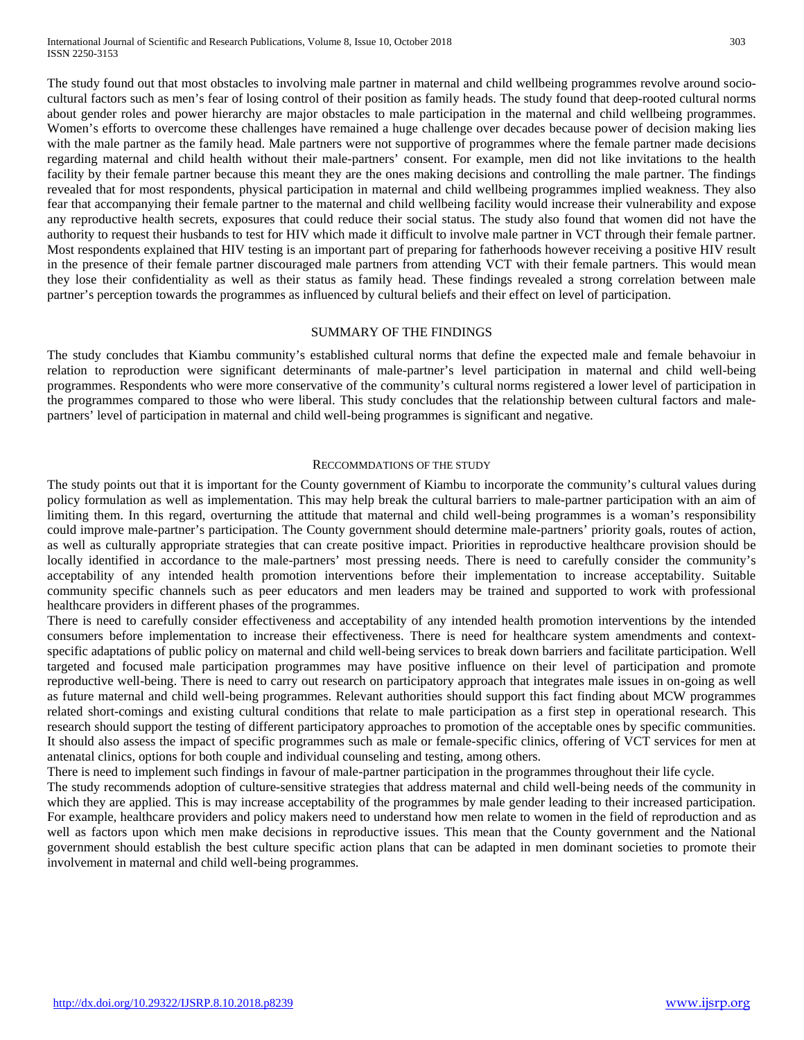The study found out that most obstacles to involving male partner in maternal and child wellbeing programmes revolve around sociocultural factors such as men's fear of losing control of their position as family heads. The study found that deep-rooted cultural norms about gender roles and power hierarchy are major obstacles to male participation in the maternal and child wellbeing programmes. Women's efforts to overcome these challenges have remained a huge challenge over decades because power of decision making lies with the male partner as the family head. Male partners were not supportive of programmes where the female partner made decisions regarding maternal and child health without their male-partners' consent. For example, men did not like invitations to the health facility by their female partner because this meant they are the ones making decisions and controlling the male partner. The findings revealed that for most respondents, physical participation in maternal and child wellbeing programmes implied weakness. They also fear that accompanying their female partner to the maternal and child wellbeing facility would increase their vulnerability and expose any reproductive health secrets, exposures that could reduce their social status. The study also found that women did not have the authority to request their husbands to test for HIV which made it difficult to involve male partner in VCT through their female partner. Most respondents explained that HIV testing is an important part of preparing for fatherhoods however receiving a positive HIV result in the presence of their female partner discouraged male partners from attending VCT with their female partners. This would mean they lose their confidentiality as well as their status as family head. These findings revealed a strong correlation between male partner's perception towards the programmes as influenced by cultural beliefs and their effect on level of participation.

## SUMMARY OF THE FINDINGS

The study concludes that Kiambu community's established cultural norms that define the expected male and female behavoiur in relation to reproduction were significant determinants of male-partner's level participation in maternal and child well-being programmes. Respondents who were more conservative of the community's cultural norms registered a lower level of participation in the programmes compared to those who were liberal. This study concludes that the relationship between cultural factors and malepartners' level of participation in maternal and child well-being programmes is significant and negative.

#### RECCOMMDATIONS OF THE STUDY

The study points out that it is important for the County government of Kiambu to incorporate the community's cultural values during policy formulation as well as implementation. This may help break the cultural barriers to male-partner participation with an aim of limiting them. In this regard, overturning the attitude that maternal and child well-being programmes is a woman's responsibility could improve male-partner's participation. The County government should determine male-partners' priority goals, routes of action, as well as culturally appropriate strategies that can create positive impact. Priorities in reproductive healthcare provision should be locally identified in accordance to the male-partners' most pressing needs. There is need to carefully consider the community's acceptability of any intended health promotion interventions before their implementation to increase acceptability. Suitable community specific channels such as peer educators and men leaders may be trained and supported to work with professional healthcare providers in different phases of the programmes.

There is need to carefully consider effectiveness and acceptability of any intended health promotion interventions by the intended consumers before implementation to increase their effectiveness. There is need for healthcare system amendments and contextspecific adaptations of public policy on maternal and child well-being services to break down barriers and facilitate participation. Well targeted and focused male participation programmes may have positive influence on their level of participation and promote reproductive well-being. There is need to carry out research on participatory approach that integrates male issues in on-going as well as future maternal and child well-being programmes. Relevant authorities should support this fact finding about MCW programmes related short-comings and existing cultural conditions that relate to male participation as a first step in operational research. This research should support the testing of different participatory approaches to promotion of the acceptable ones by specific communities. It should also assess the impact of specific programmes such as male or female-specific clinics, offering of VCT services for men at antenatal clinics, options for both couple and individual counseling and testing, among others.

There is need to implement such findings in favour of male-partner participation in the programmes throughout their life cycle.

The study recommends adoption of culture-sensitive strategies that address maternal and child well-being needs of the community in which they are applied. This is may increase acceptability of the programmes by male gender leading to their increased participation. For example, healthcare providers and policy makers need to understand how men relate to women in the field of reproduction and as well as factors upon which men make decisions in reproductive issues. This mean that the County government and the National government should establish the best culture specific action plans that can be adapted in men dominant societies to promote their involvement in maternal and child well-being programmes.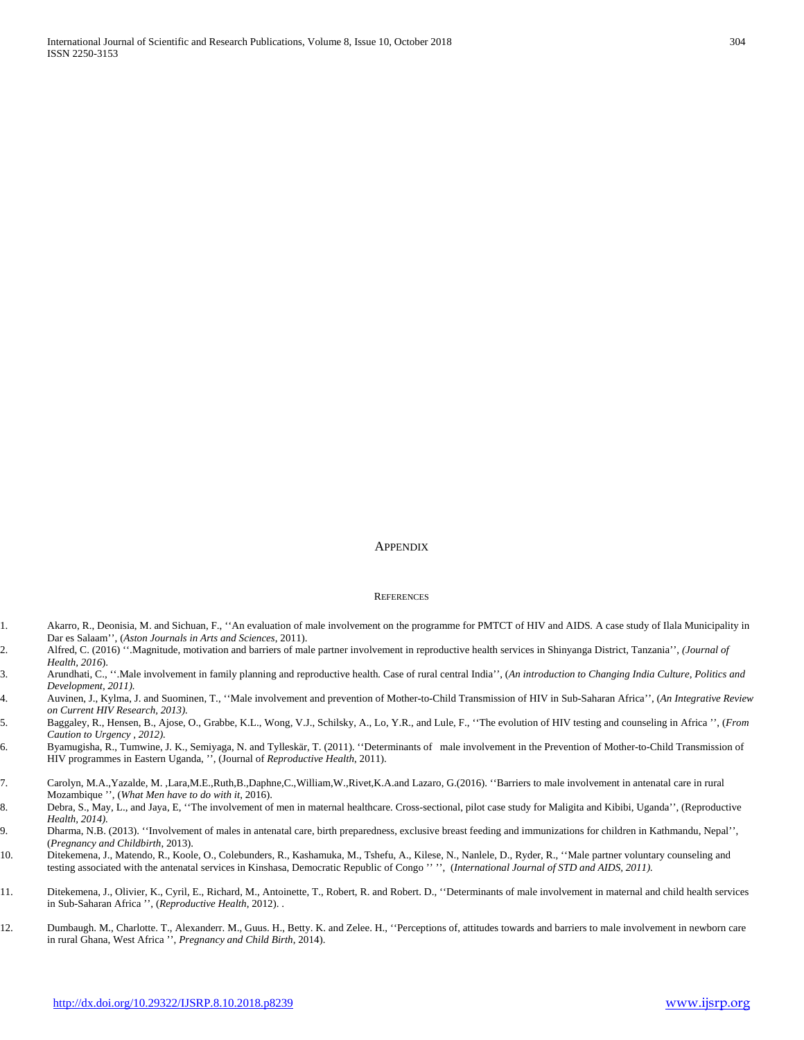#### **APPENDIX**

#### **REFERENCES**

- 1. Akarro, R., Deonisia, M. and Sichuan, F., ''An evaluation of male involvement on the programme for PMTCT of HIV and AIDS*.* A case study of Ilala Municipality in Dar es Salaam'', (*Aston Journals in Arts and Sciences*, 2011).
- 2. Alfred, C. (2016) ''.Magnitude, motivation and barriers of male partner involvement in reproductive health services in Shinyanga District, Tanzania'', *(Journal of Health, 2016*).
- 3. Arundhati, C., ''.Male involvement in family planning and reproductive health*.* Case of rural central India'', (*An introduction to Changing India Culture, Politics and Development, 2011).*
- 4. Auvinen, J., Kylma, J. and Suominen, T., ''Male involvement and prevention of Mother-to-Child Transmission of HIV in Sub-Saharan Africa'', (*An Integrative Review on Current HIV Research, 2013).*
- 5. Baggaley, R., Hensen, B., [Ajose, O.,](about:blank) [Grabbe, K.L.,](http://www.ncbi.nlm.nih.gov/pubmed?term=Grabbe%20KL%5BAuthor%5D&cauthor=true&cauthor_uid=22984309) [Wong, V.J.,](http://www.ncbi.nlm.nih.gov/pubmed?term=Wong%20VJ%5BAuthor%5D&cauthor=true&cauthor_uid=22984309) [Schilsky, A.,](http://www.ncbi.nlm.nih.gov/pubmed?term=Schilsky%20A%5BAuthor%5D&cauthor=true&cauthor_uid=22984309) [Lo, Y.R.,](http://www.ncbi.nlm.nih.gov/pubmed?term=Lo%20YR%5BAuthor%5D&cauthor=true&cauthor_uid=22984309) and Lule, F., ''The evolution of HIV testing and counseling in Africa '', (*From Caution to Urgency , 2012).*
- 6. Byamugisha, R., Tumwine, J. K., Semiyaga, N. and Tylleskär, T. (2011). ''Determinants of male involvement in the Prevention of Mother-to-Child Transmission of HIV programmes in Eastern Uganda, '', (Journal of *Reproductive Health*, 2011).
- 7. Carolyn, M.A.,Yazalde, M. ,Lara,M.E.,Ruth,B.,Daphne,C.,William,W.,Rivet,K.A.and Lazaro, G.(2016). ''Barriers to male involvement in antenatal care in rural Mozambique '', (*What Men have to do with it*, 2016).
- 8. Debra, S., May, L., and Jaya, E, ''The involvement of men in maternal healthcare. Cross-sectional, pilot case study for Maligita and Kibibi, Uganda'', (Reproductive *Health, 2014).*
- 9. Dharma, N.B. (2013). ''Involvement of males in antenatal care, birth preparedness, exclusive breast feeding and immunizations for children in Kathmandu, Nepal'', (*Pregnancy and Childbirth*, 2013).
- 10. Ditekemena, J., Matendo, R., Koole, O., Colebunders, R., Kashamuka, M., Tshefu, A., Kilese, N., Nanlele, D., Ryder, R., ''Male partner voluntary counseling and testing associated with the antenatal services in Kinshasa, Democratic Republic of Congo '' '', (*International Journal of STD and AIDS, 2011).*
- 11. Ditekemena, J., Olivier, K., Cyril, E., Richard, M., Antoinette, T., Robert, R. and Robert. D., ''Determinants of male involvement in maternal and child health services in Sub-Saharan Africa '', (*Reproductive Health*, 2012). .
- 12. Dumbaugh. M., Charlotte. T., Alexanderr. M., Guus. H., Betty. K. and Zelee. H., ''Perceptions of, attitudes towards and barriers to male involvement in newborn care in rural Ghana, West Africa '', *Pregnancy and Child Birth*, 2014).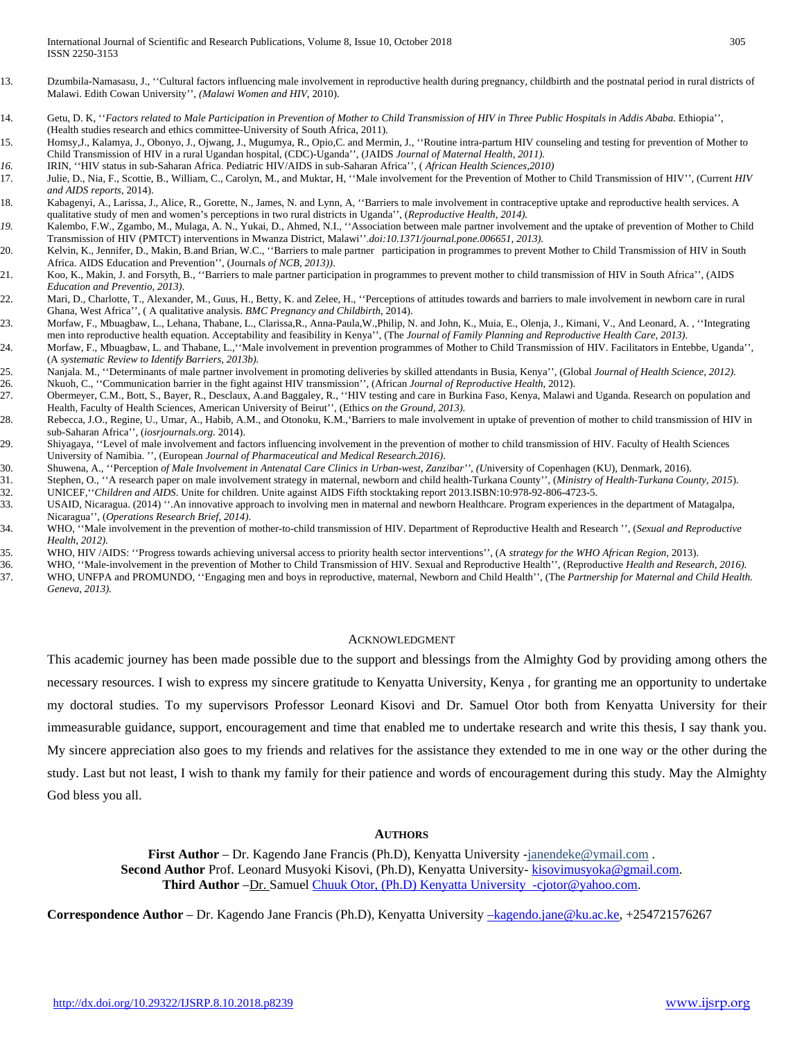- 13. Dzumbila-Namasasu, J., ''Cultural factors influencing male involvement in reproductive health during pregnancy, childbirth and the postnatal period in rural districts of Malawi. Edith Cowan University'', *(Malawi Women and HIV*, 2010).
- 14. Getu, D. K, ''*Factors related to Male Participation in Prevention of Mother to Child Transmission of HIV in Three Public Hospitals in Addis Ababa.* Ethiopia'', (Health studies research and ethics committee-University of South Africa, 2011).
- 15. [Homsy,J.](http://www.ncbi.nlm.nih.gov/pubmed?term=Homsy%20J%5BAuthor%5D&cauthor=true&cauthor_uid=16760796)[, Kalamya, J.,](http://www.ncbi.nlm.nih.gov/pubmed?term=Kalamya%20JN%5BAuthor%5D&cauthor=true&cauthor_uid=16760796) [Obonyo, J.](http://www.ncbi.nlm.nih.gov/pubmed?term=Obonyo%20J%5BAuthor%5D&cauthor=true&cauthor_uid=16760796)[, Ojwang, J.,](http://www.ncbi.nlm.nih.gov/pubmed?term=Ojwang%20J%5BAuthor%5D&cauthor=true&cauthor_uid=16760796) [Mugumya, R.,](http://www.ncbi.nlm.nih.gov/pubmed?term=Mugumya%20R%5BAuthor%5D&cauthor=true&cauthor_uid=16760796) [Opio,C.](http://www.ncbi.nlm.nih.gov/pubmed?term=Opio%20C%5BAuthor%5D&cauthor=true&cauthor_uid=16760796) an[d Mermin, J.,](http://www.ncbi.nlm.nih.gov/pubmed?term=Mermin%20J%5BAuthor%5D&cauthor=true&cauthor_uid=16760796) ''Routine intra-partum HIV counseling and testing for prevention of Mother to Child Transmission of HIV in a rural Ugandan hospital, (CDC)-Uganda'', (JAIDS *Journal of Maternal Health, 2011).*
- *16.* IRIN, ''HIV status in sub-Saharan Africa. Pediatric HIV/AIDS in sub-Saharan Africa'', ( *African Health Sciences,2010)*
- 17. Julie, D., Nia, F., Scottie, B., William, C., Carolyn, M., and Muktar, H, ''Male involvement for the Prevention of Mother to Child Transmission of HIV'', (Current *HIV and AIDS reports,* 2014).
- 18. Kabagenyi, A., Larissa, J., Alice, R., Gorette, N., James, N. and Lynn, A, ''Barriers to male involvement in contraceptive uptake and reproductive health services. A qualitative study of men and women's perceptions in two rural districts in Uganda'', (*Reproductive Health, 2014).*
- *19.* Kalembo, F.W., Zgambo, M., Mulaga, A. N., Yukai, D., Ahmed, N.I., ''Association between male partner involvement and the uptake of prevention of Mother to Child Transmission of HIV (PMTCT) interventions in Mwanza District, Malawi''.*doi:10.1371/journal.pone.006651, 2013).*
- 20. Kelvin, K., Jennifer, D., Makin, B.and Brian, W.C., ''Barriers to male partner participation in programmes to prevent Mother to Child Transmission of HIV in South Africa. AIDS Education and Prevention'', (Journals *of NCB, 2013))*.
- 21. Koo, K., Makin, J. and Forsyth, B., ''Barriers to male partner participation in programmes to prevent mother to child transmission of HIV in South Africa'', (AIDS *Education and Preventio, 2013)*.

22. Mari, D., Charlotte, T., Alexander, M., Guus, H., Betty, K. and Zelee, H., "Perceptions of attitudes towards and barriers to male involvement in newborn care in rural Ghana, West Africa'', ( A qualitative analysis. *BMC Pregnancy and Childbirth*, 2014).

- 23. Morfaw, F., Mbuagbaw, L., Lehana, Thabane, L., Clarissa,R., Anna-Paula,W.,Philip, N. and John, K., Muia, E., Olenja, J., Kimani, V., And Leonard, A. , ''Integrating men into reproductive health equation. Acceptability and feasibility in Kenya'', (The *Journal of Family Planning and Reproductive Health Care, 2013)*.
- 24. Morfaw, F., Mbuagbaw, L. and Thabane, L.,''Male involvement in prevention programmes of Mother to Child Transmission of HIV. Facilitators in Entebbe, Uganda'', (A *systematic Review to Identify Barriers, 2013b).*
- 25. Nanjala. M., ''Determinants of male partner involvement in promoting deliveries by skilled attendants in Busia, Kenya'', (Global *Journal of Health Science, 2012).*
- 26. Nkuoh, C., ''Communication barrier in the fight against HIV transmission'', (African *Journal of Reproductive Health*, 2012). 27. [Obermeyer, C.M.,](http://www.ncbi.nlm.nih.gov/pubmed?term=Obermeyer%20CM%5BAuthor%5D&cauthor=true&cauthor_uid=23343572) [Bott, S.](http://www.ncbi.nlm.nih.gov/pubmed?term=Bott%20S%5BAuthor%5D&cauthor=true&cauthor_uid=23343572)[, Bayer, R.](http://www.ncbi.nlm.nih.gov/pubmed?term=Bayer%20R%5BAuthor%5D&cauthor=true&cauthor_uid=23343572)[, Desclaux, A.a](http://www.ncbi.nlm.nih.gov/pubmed?term=Desclaux%20A%5BAuthor%5D&cauthor=true&cauthor_uid=23343572)n[d Baggaley, R.,](http://www.ncbi.nlm.nih.gov/pubmed?term=Baggaley%20R%5BAuthor%5D&cauthor=true&cauthor_uid=23343572) ''HIV testing and care in Burkina Faso, Kenya, Malawi and Uganda. Research on population and
- Health, Faculty of Health Sciences, American University of Beirut'', (Ethics *on the Ground, 2013).* 28. Rebecca, J.O., Regine, U., Umar, A., Habib, A.M., and Otonoku, K.M.,'Barriers to male involvement in uptake of prevention of mother to child transmission of HIV in sub-Saharan Africa'', (*iosrjournals.org.* 2014).
- 29. Shiyagaya, ''Level of male involvement and factors influencing involvement in the prevention of mother to child transmission of HIV*.* Faculty of Health Sciences University of Namibia. '', (European *Journal of Pharmaceutical and Medical Research.2016)*.
- 30. Shuwena, A., ''Perception *of Male Involvement in Antenatal Care Clinics in Urban-west, Zanzibar'', (U*niversity of Copenhagen (KU), Denmark, 2016).
- 31. Stephen, O., ''A research paper on male involvement strategy in maternal, newborn and child health-Turkana County''*,* (*Ministry of Health-Turkana County, 2015*). 32. UNICEF,''*Children and AIDS*. Unite for children. Unite against AIDS Fifth stocktaking report 2013.ISBN:10:978-92-806-4723-5.
- 33. USAID, Nicaragua. (2014) ''.An innovative approach to involving men in maternal and newborn Healthcare. Program experiences in the department of Matagalpa, Nicaragua'', (*Operations Research Brief, 2014)*.
- 34. WHO, ''Male involvement in the prevention of mother-to-child transmission of HIV. Department of Reproductive Health and Research '', (*Sexual and Reproductive Health, 2012).*
- 35. WHO, HIV /AIDS: ''Progress towards achieving universal access to priority health sector interventions'', (A *strategy for the WHO African Region*, 2013).
	-
- 36. WHO, "Male-involvement in the prevention of Mother to Child Transmission of HIV. Sexual and Reproductive Health'', (Reproductive *Health and Research, 2016).*<br>37. WHO, UNFPA and PROMUNDO, "Engaging men and boys in repr 37. WHO, UNFPA and PROMUNDO, ''Engaging men and boys in reproductive, maternal, Newborn and Child Health'', (The *Partnership for Maternal and Child Health. Geneva, 2013).*

#### ACKNOWLEDGMENT

This academic journey has been made possible due to the support and blessings from the Almighty God by providing among others the necessary resources. I wish to express my sincere gratitude to Kenyatta University, Kenya , for granting me an opportunity to undertake my doctoral studies. To my supervisors Professor Leonard Kisovi and Dr. Samuel Otor both from Kenyatta University for their immeasurable guidance, support, encouragement and time that enabled me to undertake research and write this thesis, I say thank you. My sincere appreciation also goes to my friends and relatives for the assistance they extended to me in one way or the other during the study. Last but not least, I wish to thank my family for their patience and words of encouragement during this study. May the Almighty God bless you all.

#### **AUTHORS**

**First Author** – Dr. Kagendo Jane Francis (Ph.D), Kenyatta University -janendeke@ymail.com. **Second Author** Prof. Leonard Musyoki Kisovi, (Ph.D), Kenyatta University- [kisovimusyoka@gmail.com.](mailto:kisovimusyoka@gmail.com) **Third Author** –Dr. Samuel [Chuuk Otor, \(Ph.D\) Kenyatta University -cjotor@yahoo.com.](mailto:Chuuk%20Otor,%20(Ph.D)%20Kenyatta%20University%20%20-cjotor@yahoo.com)

**Correspondence Author** – Dr. Kagendo Jane Francis (Ph.D), Kenyatta University [–kagendo.jane@ku.ac.ke,](mailto:–kagendo.jane@ku.ac.ke) +254721576267